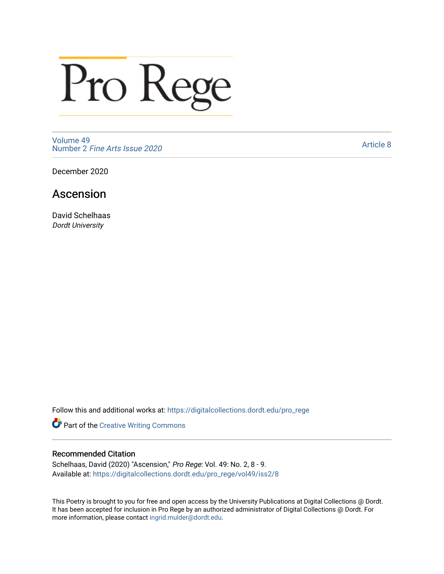# Pro Rege

[Volume 49](https://digitalcollections.dordt.edu/pro_rege/vol49) Number 2 [Fine Arts Issue 2020](https://digitalcollections.dordt.edu/pro_rege/vol49/iss2) 

[Article 8](https://digitalcollections.dordt.edu/pro_rege/vol49/iss2/8) 

December 2020

### Ascension

David Schelhaas Dordt University

Follow this and additional works at: [https://digitalcollections.dordt.edu/pro\\_rege](https://digitalcollections.dordt.edu/pro_rege?utm_source=digitalcollections.dordt.edu%2Fpro_rege%2Fvol49%2Fiss2%2F8&utm_medium=PDF&utm_campaign=PDFCoverPages) 

Part of the [Creative Writing Commons](http://network.bepress.com/hgg/discipline/574?utm_source=digitalcollections.dordt.edu%2Fpro_rege%2Fvol49%2Fiss2%2F8&utm_medium=PDF&utm_campaign=PDFCoverPages) 

#### Recommended Citation

Schelhaas, David (2020) "Ascension," Pro Rege: Vol. 49: No. 2, 8 - 9. Available at: [https://digitalcollections.dordt.edu/pro\\_rege/vol49/iss2/8](https://digitalcollections.dordt.edu/pro_rege/vol49/iss2/8?utm_source=digitalcollections.dordt.edu%2Fpro_rege%2Fvol49%2Fiss2%2F8&utm_medium=PDF&utm_campaign=PDFCoverPages) 

This Poetry is brought to you for free and open access by the University Publications at Digital Collections @ Dordt. It has been accepted for inclusion in Pro Rege by an authorized administrator of Digital Collections @ Dordt. For more information, please contact [ingrid.mulder@dordt.edu.](mailto:ingrid.mulder@dordt.edu)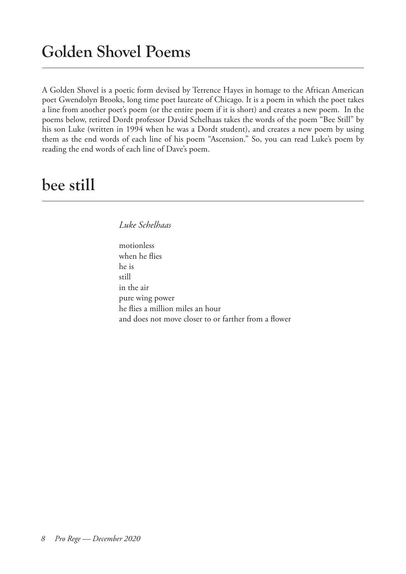A Golden Shovel is a poetic form devised by Terrence Hayes in homage to the African American poet Gwendolyn Brooks, long time poet laureate of Chicago. It is a poem in which the poet takes a line from another poet's poem (or the entire poem if it is short) and creates a new poem. In the poems below, retired Dordt professor David Schelhaas takes the words of the poem "Bee Still" by his son Luke (written in 1994 when he was a Dordt student), and creates a new poem by using them as the end words of each line of his poem "Ascension." So, you can read Luke's poem by reading the end words of each line of Dave's poem.

## **bee still**

*Luke Schelhaas*

motionless when he flies he is still in the air pure wing power he flies a million miles an hour and does not move closer to or farther from a flower